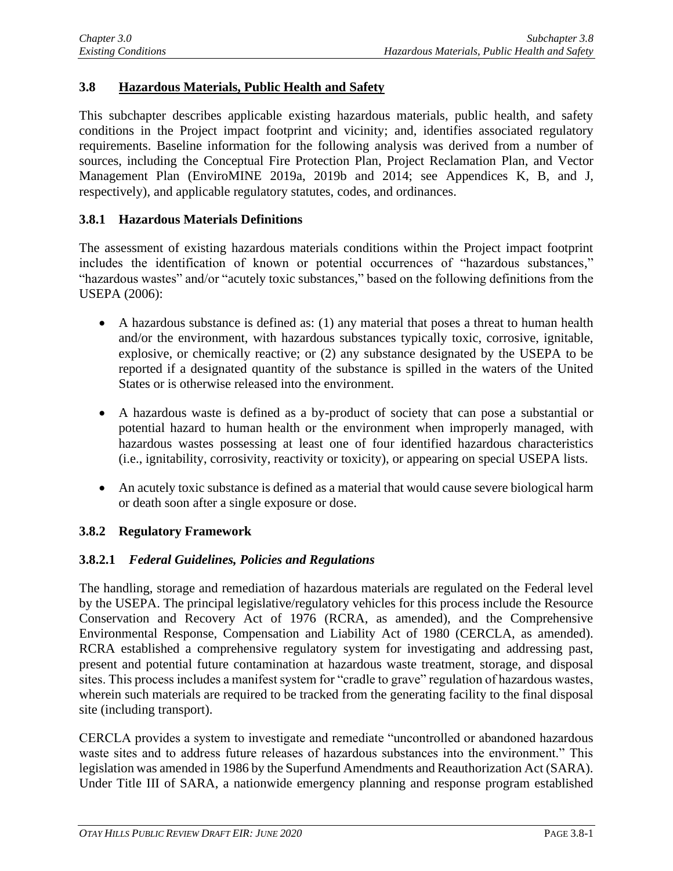## **3.8 Hazardous Materials, Public Health and Safety**

This subchapter describes applicable existing hazardous materials, public health, and safety conditions in the Project impact footprint and vicinity; and, identifies associated regulatory requirements. Baseline information for the following analysis was derived from a number of sources, including the Conceptual Fire Protection Plan, Project Reclamation Plan, and Vector Management Plan (EnviroMINE 2019a, 2019b and 2014; see Appendices K, B, and J, respectively), and applicable regulatory statutes, codes, and ordinances.

### **3.8.1 Hazardous Materials Definitions**

The assessment of existing hazardous materials conditions within the Project impact footprint includes the identification of known or potential occurrences of "hazardous substances," "hazardous wastes" and/or "acutely toxic substances," based on the following definitions from the USEPA (2006):

- A hazardous substance is defined as: (1) any material that poses a threat to human health and/or the environment, with hazardous substances typically toxic, corrosive, ignitable, explosive, or chemically reactive; or (2) any substance designated by the USEPA to be reported if a designated quantity of the substance is spilled in the waters of the United States or is otherwise released into the environment.
- A hazardous waste is defined as a by-product of society that can pose a substantial or potential hazard to human health or the environment when improperly managed, with hazardous wastes possessing at least one of four identified hazardous characteristics (i.e., ignitability, corrosivity, reactivity or toxicity), or appearing on special USEPA lists.
- An acutely toxic substance is defined as a material that would cause severe biological harm or death soon after a single exposure or dose.

### **3.8.2 Regulatory Framework**

### **3.8.2.1** *Federal Guidelines, Policies and Regulations*

The handling, storage and remediation of hazardous materials are regulated on the Federal level by the USEPA. The principal legislative/regulatory vehicles for this process include the Resource Conservation and Recovery Act of 1976 (RCRA, as amended), and the Comprehensive Environmental Response, Compensation and Liability Act of 1980 (CERCLA, as amended). RCRA established a comprehensive regulatory system for investigating and addressing past, present and potential future contamination at hazardous waste treatment, storage, and disposal sites. This process includes a manifest system for "cradle to grave" regulation of hazardous wastes, wherein such materials are required to be tracked from the generating facility to the final disposal site (including transport).

CERCLA provides a system to investigate and remediate "uncontrolled or abandoned hazardous waste sites and to address future releases of hazardous substances into the environment." This legislation was amended in 1986 by the Superfund Amendments and Reauthorization Act (SARA). Under Title III of SARA, a nationwide emergency planning and response program established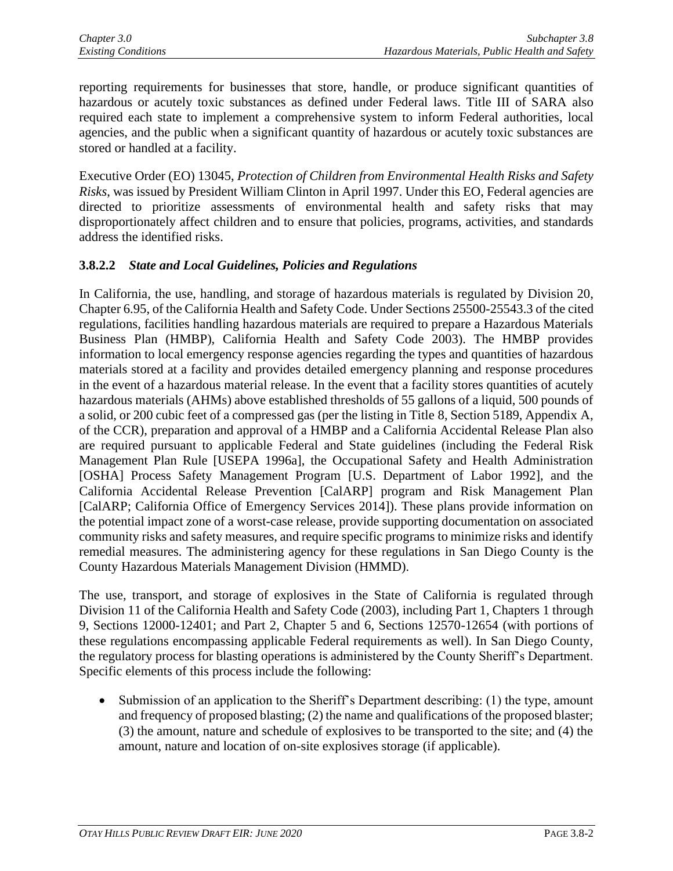reporting requirements for businesses that store, handle, or produce significant quantities of hazardous or acutely toxic substances as defined under Federal laws. Title III of SARA also required each state to implement a comprehensive system to inform Federal authorities, local agencies, and the public when a significant quantity of hazardous or acutely toxic substances are stored or handled at a facility.

Executive Order (EO) 13045, *Protection of Children from Environmental Health Risks and Safety Risks*, was issued by President William Clinton in April 1997. Under this EO, Federal agencies are directed to prioritize assessments of environmental health and safety risks that may disproportionately affect children and to ensure that policies, programs, activities, and standards address the identified risks.

## **3.8.2.2** *State and Local Guidelines, Policies and Regulations*

In California, the use, handling, and storage of hazardous materials is regulated by Division 20, Chapter 6.95, of the California Health and Safety Code. Under Sections 25500-25543.3 of the cited regulations, facilities handling hazardous materials are required to prepare a Hazardous Materials Business Plan (HMBP), California Health and Safety Code 2003). The HMBP provides information to local emergency response agencies regarding the types and quantities of hazardous materials stored at a facility and provides detailed emergency planning and response procedures in the event of a hazardous material release. In the event that a facility stores quantities of acutely hazardous materials (AHMs) above established thresholds of 55 gallons of a liquid, 500 pounds of a solid, or 200 cubic feet of a compressed gas (per the listing in Title 8, Section 5189, Appendix A, of the CCR), preparation and approval of a HMBP and a California Accidental Release Plan also are required pursuant to applicable Federal and State guidelines (including the Federal Risk Management Plan Rule [USEPA 1996a], the Occupational Safety and Health Administration [OSHA] Process Safety Management Program [U.S. Department of Labor 1992], and the California Accidental Release Prevention [CalARP] program and Risk Management Plan [CalARP; California Office of Emergency Services 2014]). These plans provide information on the potential impact zone of a worst-case release, provide supporting documentation on associated community risks and safety measures, and require specific programs to minimize risks and identify remedial measures. The administering agency for these regulations in San Diego County is the County Hazardous Materials Management Division (HMMD).

The use, transport, and storage of explosives in the State of California is regulated through Division 11 of the California Health and Safety Code (2003), including Part 1, Chapters 1 through 9, Sections 12000-12401; and Part 2, Chapter 5 and 6, Sections 12570-12654 (with portions of these regulations encompassing applicable Federal requirements as well). In San Diego County, the regulatory process for blasting operations is administered by the County Sheriff's Department. Specific elements of this process include the following:

• Submission of an application to the Sheriff's Department describing: (1) the type, amount and frequency of proposed blasting; (2) the name and qualifications of the proposed blaster; (3) the amount, nature and schedule of explosives to be transported to the site; and (4) the amount, nature and location of on-site explosives storage (if applicable).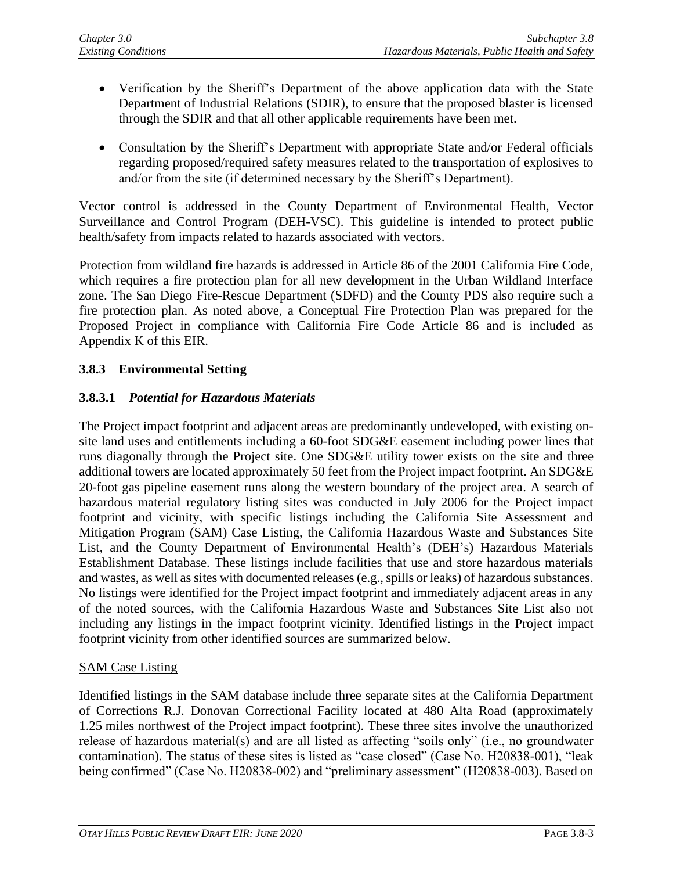- Verification by the Sheriff's Department of the above application data with the State Department of Industrial Relations (SDIR), to ensure that the proposed blaster is licensed through the SDIR and that all other applicable requirements have been met.
- Consultation by the Sheriff's Department with appropriate State and/or Federal officials regarding proposed/required safety measures related to the transportation of explosives to and/or from the site (if determined necessary by the Sheriff's Department).

Vector control is addressed in the County Department of Environmental Health, Vector Surveillance and Control Program (DEH-VSC). This guideline is intended to protect public health/safety from impacts related to hazards associated with vectors.

Protection from wildland fire hazards is addressed in Article 86 of the 2001 California Fire Code, which requires a fire protection plan for all new development in the Urban Wildland Interface zone. The San Diego Fire-Rescue Department (SDFD) and the County PDS also require such a fire protection plan. As noted above, a Conceptual Fire Protection Plan was prepared for the Proposed Project in compliance with California Fire Code Article 86 and is included as Appendix K of this EIR.

# **3.8.3 Environmental Setting**

# **3.8.3.1** *Potential for Hazardous Materials*

The Project impact footprint and adjacent areas are predominantly undeveloped, with existing onsite land uses and entitlements including a 60-foot SDG&E easement including power lines that runs diagonally through the Project site. One SDG&E utility tower exists on the site and three additional towers are located approximately 50 feet from the Project impact footprint. An SDG&E 20-foot gas pipeline easement runs along the western boundary of the project area. A search of hazardous material regulatory listing sites was conducted in July 2006 for the Project impact footprint and vicinity, with specific listings including the California Site Assessment and Mitigation Program (SAM) Case Listing, the California Hazardous Waste and Substances Site List, and the County Department of Environmental Health's (DEH's) Hazardous Materials Establishment Database. These listings include facilities that use and store hazardous materials and wastes, as well as sites with documented releases (e.g., spills or leaks) of hazardous substances. No listings were identified for the Project impact footprint and immediately adjacent areas in any of the noted sources, with the California Hazardous Waste and Substances Site List also not including any listings in the impact footprint vicinity. Identified listings in the Project impact footprint vicinity from other identified sources are summarized below.

### SAM Case Listing

Identified listings in the SAM database include three separate sites at the California Department of Corrections R.J. Donovan Correctional Facility located at 480 Alta Road (approximately 1.25 miles northwest of the Project impact footprint). These three sites involve the unauthorized release of hazardous material(s) and are all listed as affecting "soils only" (i.e., no groundwater contamination). The status of these sites is listed as "case closed" (Case No. H20838-001), "leak being confirmed" (Case No. H20838-002) and "preliminary assessment" (H20838-003). Based on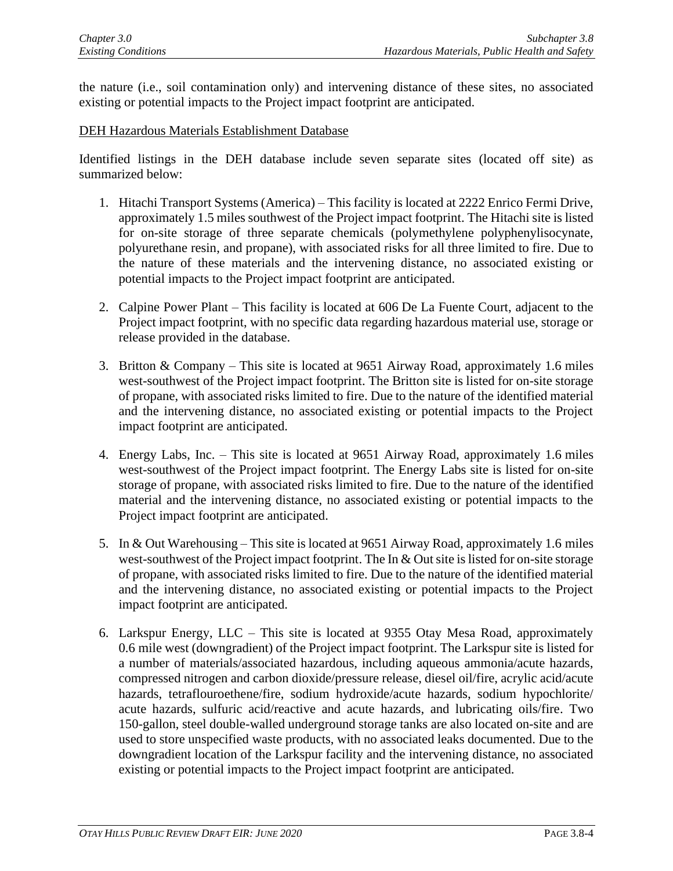the nature (i.e., soil contamination only) and intervening distance of these sites, no associated existing or potential impacts to the Project impact footprint are anticipated.

#### DEH Hazardous Materials Establishment Database

Identified listings in the DEH database include seven separate sites (located off site) as summarized below:

- 1. Hitachi Transport Systems (America) This facility is located at 2222 Enrico Fermi Drive, approximately 1.5 miles southwest of the Project impact footprint. The Hitachi site is listed for on-site storage of three separate chemicals (polymethylene polyphenylisocynate, polyurethane resin, and propane), with associated risks for all three limited to fire. Due to the nature of these materials and the intervening distance, no associated existing or potential impacts to the Project impact footprint are anticipated.
- 2. Calpine Power Plant This facility is located at 606 De La Fuente Court, adjacent to the Project impact footprint, with no specific data regarding hazardous material use, storage or release provided in the database.
- 3. Britton & Company This site is located at 9651 Airway Road, approximately 1.6 miles west-southwest of the Project impact footprint. The Britton site is listed for on-site storage of propane, with associated risks limited to fire. Due to the nature of the identified material and the intervening distance, no associated existing or potential impacts to the Project impact footprint are anticipated.
- 4. Energy Labs, Inc. This site is located at 9651 Airway Road, approximately 1.6 miles west-southwest of the Project impact footprint. The Energy Labs site is listed for on-site storage of propane, with associated risks limited to fire. Due to the nature of the identified material and the intervening distance, no associated existing or potential impacts to the Project impact footprint are anticipated.
- 5. In & Out Warehousing This site is located at 9651 Airway Road, approximately 1.6 miles west-southwest of the Project impact footprint. The In & Out site is listed for on-site storage of propane, with associated risks limited to fire. Due to the nature of the identified material and the intervening distance, no associated existing or potential impacts to the Project impact footprint are anticipated.
- 6. Larkspur Energy, LLC This site is located at 9355 Otay Mesa Road, approximately 0.6 mile west (downgradient) of the Project impact footprint. The Larkspur site is listed for a number of materials/associated hazardous, including aqueous ammonia/acute hazards, compressed nitrogen and carbon dioxide/pressure release, diesel oil/fire, acrylic acid/acute hazards, tetraflouroethene/fire, sodium hydroxide/acute hazards, sodium hypochlorite/ acute hazards, sulfuric acid/reactive and acute hazards, and lubricating oils/fire. Two 150-gallon, steel double-walled underground storage tanks are also located on-site and are used to store unspecified waste products, with no associated leaks documented. Due to the downgradient location of the Larkspur facility and the intervening distance, no associated existing or potential impacts to the Project impact footprint are anticipated.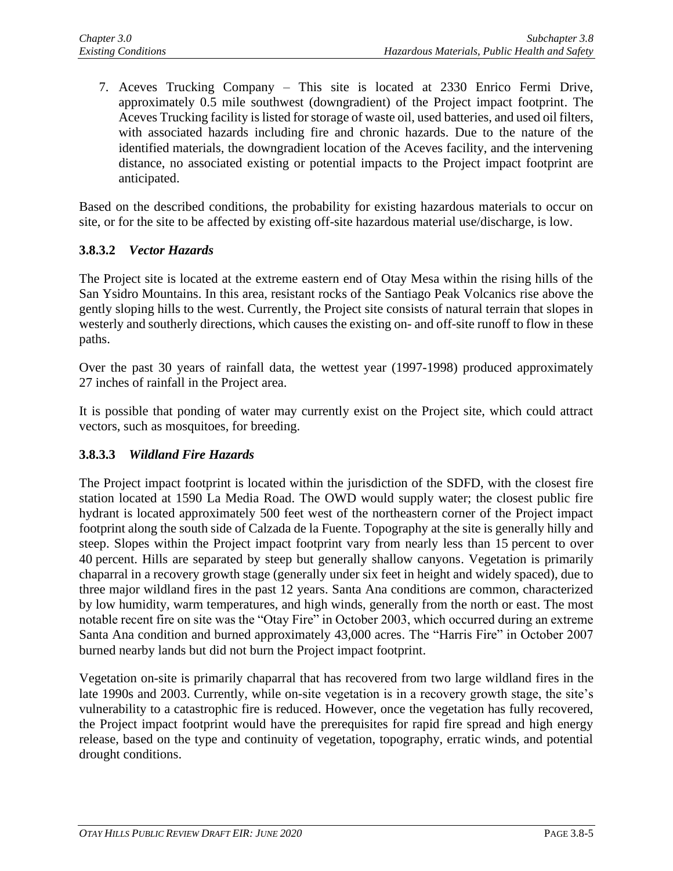7. Aceves Trucking Company – This site is located at 2330 Enrico Fermi Drive, approximately 0.5 mile southwest (downgradient) of the Project impact footprint. The Aceves Trucking facility is listed for storage of waste oil, used batteries, and used oil filters, with associated hazards including fire and chronic hazards. Due to the nature of the identified materials, the downgradient location of the Aceves facility, and the intervening distance, no associated existing or potential impacts to the Project impact footprint are anticipated.

Based on the described conditions, the probability for existing hazardous materials to occur on site, or for the site to be affected by existing off-site hazardous material use/discharge, is low.

### **3.8.3.2** *Vector Hazards*

The Project site is located at the extreme eastern end of Otay Mesa within the rising hills of the San Ysidro Mountains. In this area, resistant rocks of the Santiago Peak Volcanics rise above the gently sloping hills to the west. Currently, the Project site consists of natural terrain that slopes in westerly and southerly directions, which causes the existing on- and off-site runoff to flow in these paths.

Over the past 30 years of rainfall data, the wettest year (1997-1998) produced approximately 27 inches of rainfall in the Project area.

It is possible that ponding of water may currently exist on the Project site, which could attract vectors, such as mosquitoes, for breeding.

### **3.8.3.3** *Wildland Fire Hazards*

The Project impact footprint is located within the jurisdiction of the SDFD, with the closest fire station located at 1590 La Media Road. The OWD would supply water; the closest public fire hydrant is located approximately 500 feet west of the northeastern corner of the Project impact footprint along the south side of Calzada de la Fuente. Topography at the site is generally hilly and steep. Slopes within the Project impact footprint vary from nearly less than 15 percent to over 40 percent. Hills are separated by steep but generally shallow canyons. Vegetation is primarily chaparral in a recovery growth stage (generally under six feet in height and widely spaced), due to three major wildland fires in the past 12 years. Santa Ana conditions are common, characterized by low humidity, warm temperatures, and high winds, generally from the north or east. The most notable recent fire on site was the "Otay Fire" in October 2003, which occurred during an extreme Santa Ana condition and burned approximately 43,000 acres. The "Harris Fire" in October 2007 burned nearby lands but did not burn the Project impact footprint.

Vegetation on-site is primarily chaparral that has recovered from two large wildland fires in the late 1990s and 2003. Currently, while on-site vegetation is in a recovery growth stage, the site's vulnerability to a catastrophic fire is reduced. However, once the vegetation has fully recovered, the Project impact footprint would have the prerequisites for rapid fire spread and high energy release, based on the type and continuity of vegetation, topography, erratic winds, and potential drought conditions.